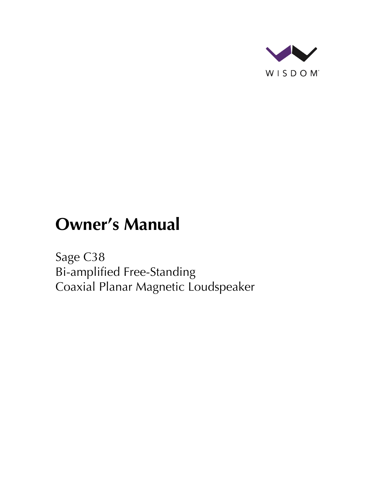

# **Owner's Manual**

Sage C38 Bi-amplified Free-Standing Coaxial Planar Magnetic Loudspeaker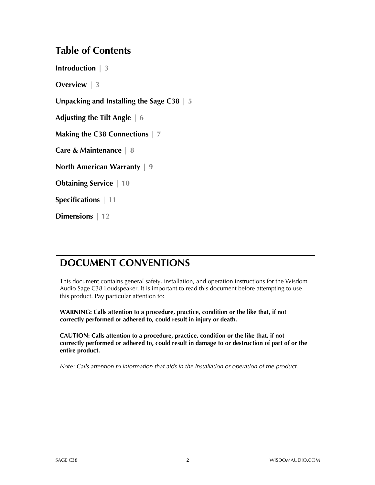### **Table of Contents**

**Introduction | 3**

**Overview | 3**

**Unpacking and Installing the Sage C38 | 5**

**Adjusting the Tilt Angle | 6**

**Making the C38 Connections | 7**

**Care & Maintenance | 8**

**North American Warranty | 9**

**Obtaining Service | 10**

**Specifications | 11**

**Dimensions | 12**

## **DOCUMENT CONVENTIONS**

This document contains general safety, installation, and operation instructions for the Wisdom Audio Sage C38 Loudspeaker. It is important to read this document before attempting to use this product. Pay particular attention to:

**WARNING: Calls attention to a procedure, practice, condition or the like that, if not correctly performed or adhered to, could result in injury or death.** 

**CAUTION: Calls attention to a procedure, practice, condition or the like that, if not correctly performed or adhered to, could result in damage to or destruction of part of or the entire product.** 

*Note: Calls attention to information that aids in the installation or operation of the product.*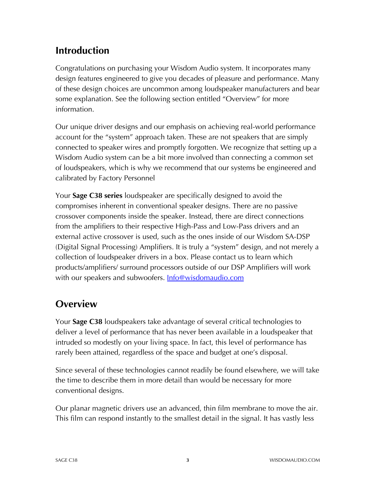# **Introduction**

Congratulations on purchasing your Wisdom Audio system. It incorporates many design features engineered to give you decades of pleasure and performance. Many of these design choices are uncommon among loudspeaker manufacturers and bear some explanation. See the following section entitled "Overview" for more information.

Our unique driver designs and our emphasis on achieving real-world performance account for the "system" approach taken. These are not speakers that are simply connected to speaker wires and promptly forgotten. We recognize that setting up a Wisdom Audio system can be a bit more involved than connecting a common set of loudspeakers, which is why we recommend that our systems be engineered and calibrated by Factory Personnel

Your **Sage C38 series** loudspeaker are specifically designed to avoid the compromises inherent in conventional speaker designs. There are no passive crossover components inside the speaker. Instead, there are direct connections from the amplifiers to their respective High-Pass and Low-Pass drivers and an external active crossover is used, such as the ones inside of our Wisdom SA-DSP (Digital Signal Processing) Amplifiers. It is truly a "system" design, and not merely a collection of loudspeaker drivers in a box. Please contact us to learn which products/amplifiers/ surround processors outside of our DSP Amplifiers will work with our speakers and subwoofers. **Info@wisdomaudio.com** 

# **Overview**

Your **Sage C38** loudspeakers take advantage of several critical technologies to deliver a level of performance that has never been available in a loudspeaker that intruded so modestly on your living space. In fact, this level of performance has rarely been attained, regardless of the space and budget at one's disposal.

Since several of these technologies cannot readily be found elsewhere, we will take the time to describe them in more detail than would be necessary for more conventional designs.

Our planar magnetic drivers use an advanced, thin film membrane to move the air. This film can respond instantly to the smallest detail in the signal. It has vastly less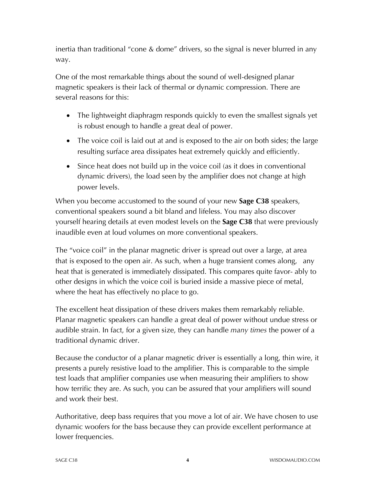inertia than traditional "cone & dome" drivers, so the signal is never blurred in any way.

One of the most remarkable things about the sound of well-designed planar magnetic speakers is their lack of thermal or dynamic compression. There are several reasons for this:

- The lightweight diaphragm responds quickly to even the smallest signals yet is robust enough to handle a great deal of power.
- The voice coil is laid out at and is exposed to the air on both sides; the large resulting surface area dissipates heat extremely quickly and efficiently.
- Since heat does not build up in the voice coil (as it does in conventional dynamic drivers), the load seen by the amplifier does not change at high power levels.

When you become accustomed to the sound of your new **Sage C38** speakers, conventional speakers sound a bit bland and lifeless. You may also discover yourself hearing details at even modest levels on the **Sage C38** that were previously inaudible even at loud volumes on more conventional speakers.

The "voice coil" in the planar magnetic driver is spread out over a large, at area that is exposed to the open air. As such, when a huge transient comes along, any heat that is generated is immediately dissipated. This compares quite favor- ably to other designs in which the voice coil is buried inside a massive piece of metal, where the heat has effectively no place to go.

The excellent heat dissipation of these drivers makes them remarkably reliable. Planar magnetic speakers can handle a great deal of power without undue stress or audible strain. In fact, for a given size, they can handle *many times* the power of a traditional dynamic driver.

Because the conductor of a planar magnetic driver is essentially a long, thin wire, it presents a purely resistive load to the amplifier. This is comparable to the simple test loads that amplifier companies use when measuring their amplifiers to show how terrific they are. As such, you can be assured that your amplifiers will sound and work their best.

Authoritative, deep bass requires that you move a lot of air. We have chosen to use dynamic woofers for the bass because they can provide excellent performance at lower frequencies.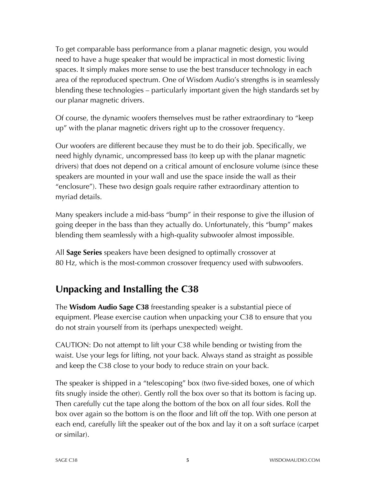To get comparable bass performance from a planar magnetic design, you would need to have a huge speaker that would be impractical in most domestic living spaces. It simply makes more sense to use the best transducer technology in each area of the reproduced spectrum. One of Wisdom Audio's strengths is in seamlessly blending these technologies – particularly important given the high standards set by our planar magnetic drivers.

Of course, the dynamic woofers themselves must be rather extraordinary to "keep up" with the planar magnetic drivers right up to the crossover frequency.

Our woofers are different because they must be to do their job. Specifically, we need highly dynamic, uncompressed bass (to keep up with the planar magnetic drivers) that does not depend on a critical amount of enclosure volume (since these speakers are mounted in your wall and use the space inside the wall as their "enclosure"). These two design goals require rather extraordinary attention to myriad details.

Many speakers include a mid-bass "bump" in their response to give the illusion of going deeper in the bass than they actually do. Unfortunately, this "bump" makes blending them seamlessly with a high-quality subwoofer almost impossible.

All **Sage Series** speakers have been designed to optimally crossover at 80 Hz, which is the most-common crossover frequency used with subwoofers.

# **Unpacking and Installing the C38**

The **Wisdom Audio Sage C38** freestanding speaker is a substantial piece of equipment. Please exercise caution when unpacking your C38 to ensure that you do not strain yourself from its (perhaps unexpected) weight.

CAUTION: Do not attempt to lift your C38 while bending or twisting from the waist. Use your legs for lifting, not your back. Always stand as straight as possible and keep the C38 close to your body to reduce strain on your back.

The speaker is shipped in a "telescoping" box (two five-sided boxes, one of which fits snugly inside the other). Gently roll the box over so that its bottom is facing up. Then carefully cut the tape along the bottom of the box on all four sides. Roll the box over again so the bottom is on the floor and lift off the top. With one person at each end, carefully lift the speaker out of the box and lay it on a soft surface (carpet or similar).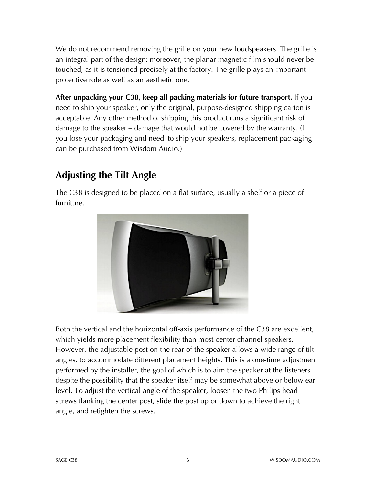We do not recommend removing the grille on your new loudspeakers. The grille is an integral part of the design; moreover, the planar magnetic film should never be touched, as it is tensioned precisely at the factory. The grille plays an important protective role as well as an aesthetic one.

**After unpacking your C38, keep all packing materials for future transport.** If you need to ship your speaker, only the original, purpose-designed shipping carton is acceptable. Any other method of shipping this product runs a significant risk of damage to the speaker – damage that would not be covered by the warranty. (If you lose your packaging and need to ship your speakers, replacement packaging can be purchased from Wisdom Audio.)

# **Adjusting the Tilt Angle**

The C38 is designed to be placed on a flat surface, usually a shelf or a piece of furniture.



Both the vertical and the horizontal off-axis performance of the C38 are excellent, which yields more placement flexibility than most center channel speakers. However, the adjustable post on the rear of the speaker allows a wide range of tilt angles, to accommodate different placement heights. This is a one-time adjustment performed by the installer, the goal of which is to aim the speaker at the listeners despite the possibility that the speaker itself may be somewhat above or below ear level. To adjust the vertical angle of the speaker, loosen the two Philips head screws flanking the center post, slide the post up or down to achieve the right angle, and retighten the screws.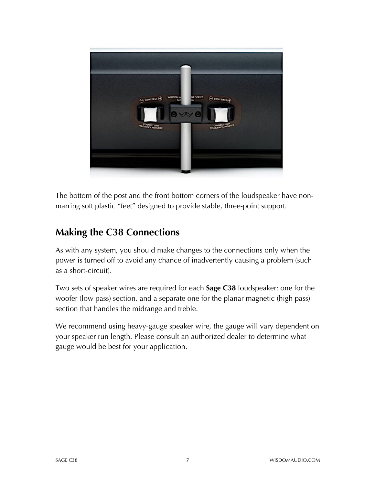

The bottom of the post and the front bottom corners of the loudspeaker have nonmarring soft plastic "feet" designed to provide stable, three-point support.

# **Making the C38 Connections**

As with any system, you should make changes to the connections only when the power is turned off to avoid any chance of inadvertently causing a problem (such as a short-circuit).

Two sets of speaker wires are required for each **Sage C38** loudspeaker: one for the woofer (low pass) section, and a separate one for the planar magnetic (high pass) section that handles the midrange and treble.

We recommend using heavy-gauge speaker wire, the gauge will vary dependent on your speaker run length. Please consult an authorized dealer to determine what gauge would be best for your application.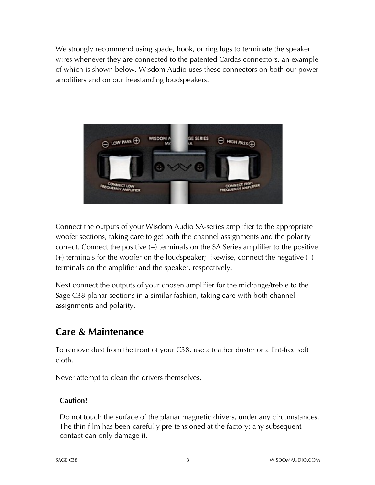We strongly recommend using spade, hook, or ring lugs to terminate the speaker wires whenever they are connected to the patented Cardas connectors, an example of which is shown below. Wisdom Audio uses these connectors on both our power amplifiers and on our freestanding loudspeakers.



Connect the outputs of your Wisdom Audio SA-series amplifier to the appropriate woofer sections, taking care to get both the channel assignments and the polarity correct. Connect the positive (+) terminals on the SA Series amplifier to the positive  $(+)$  terminals for the woofer on the loudspeaker; likewise, connect the negative  $(-)$ terminals on the amplifier and the speaker, respectively.

Next connect the outputs of your chosen amplifier for the midrange/treble to the Sage C38 planar sections in a similar fashion, taking care with both channel assignments and polarity.

## **Care & Maintenance**

To remove dust from the front of your C38, use a feather duster or a lint-free soft cloth.

Never attempt to clean the drivers themselves.

#### **Caution!** Do not touch the surface of the planar magnetic drivers, under any circumstances. The thin film has been carefully pre-tensioned at the factory; any subsequent contact can only damage it.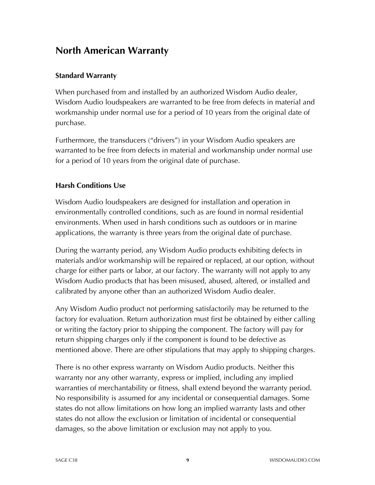## **North American Warranty**

#### **Standard Warranty**

When purchased from and installed by an authorized Wisdom Audio dealer, Wisdom Audio loudspeakers are warranted to be free from defects in material and workmanship under normal use for a period of 10 years from the original date of purchase.

Furthermore, the transducers ("drivers") in your Wisdom Audio speakers are warranted to be free from defects in material and workmanship under normal use for a period of 10 years from the original date of purchase.

#### **Harsh Conditions Use**

Wisdom Audio loudspeakers are designed for installation and operation in environmentally controlled conditions, such as are found in normal residential environments. When used in harsh conditions such as outdoors or in marine applications, the warranty is three years from the original date of purchase.

During the warranty period, any Wisdom Audio products exhibiting defects in materials and/or workmanship will be repaired or replaced, at our option, without charge for either parts or labor, at our factory. The warranty will not apply to any Wisdom Audio products that has been misused, abused, altered, or installed and calibrated by anyone other than an authorized Wisdom Audio dealer.

Any Wisdom Audio product not performing satisfactorily may be returned to the factory for evaluation. Return authorization must first be obtained by either calling or writing the factory prior to shipping the component. The factory will pay for return shipping charges only if the component is found to be defective as mentioned above. There are other stipulations that may apply to shipping charges.

There is no other express warranty on Wisdom Audio products. Neither this warranty nor any other warranty, express or implied, including any implied warranties of merchantability or fitness, shall extend beyond the warranty period. No responsibility is assumed for any incidental or consequential damages. Some states do not allow limitations on how long an implied warranty lasts and other states do not allow the exclusion or limitation of incidental or consequential damages, so the above limitation or exclusion may not apply to you.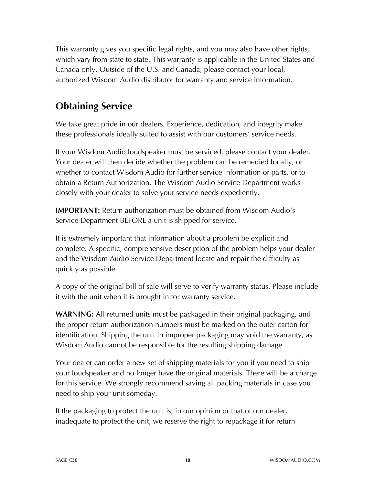This warranty gives you specific legal rights, and you may also have other rights, which vary from state to state. This warranty is applicable in the United States and Canada only. Outside of the U.S. and Canada, please contact your local, authorized Wisdom Audio distributor for warranty and service information.

# **Obtaining Service**

We take great pride in our dealers. Experience, dedication, and integrity make these professionals ideally suited to assist with our customers' service needs.

If your Wisdom Audio loudspeaker must be serviced, please contact your dealer. Your dealer will then decide whether the problem can be remedied locally, or whether to contact Wisdom Audio for further service information or parts, or to obtain a Return Authorization. The Wisdom Audio Service Department works closely with your dealer to solve your service needs expediently.

**IMPORTANT:** Return authorization must be obtained from Wisdom Audio's Service Department BEFORE a unit is shipped for service.

It is extremely important that information about a problem be explicit and complete. A specific, comprehensive description of the problem helps your dealer and the Wisdom Audio Service Department locate and repair the difficulty as quickly as possible.

A copy of the original bill of sale will serve to verify warranty status. Please include it with the unit when it is brought in for warranty service.

**WARNING:** All returned units must be packaged in their original packaging, and the proper return authorization numbers must be marked on the outer carton for identification. Shipping the unit in improper packaging may void the warranty, as Wisdom Audio cannot be responsible for the resulting shipping damage.

Your dealer can order a new set of shipping materials for you if you need to ship your loudspeaker and no longer have the original materials. There will be a charge for this service. We strongly recommend saving all packing materials in case you need to ship your unit someday.

If the packaging to protect the unit is, in our opinion or that of our dealer, inadequate to protect the unit, we reserve the right to repackage it for return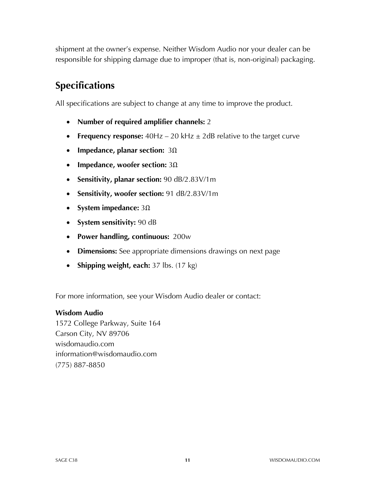shipment at the owner's expense. Neither Wisdom Audio nor your dealer can be responsible for shipping damage due to improper (that is, non-original) packaging.

# **Specifications**

All specifications are subject to change at any time to improve the product.

- **Number of required amplifier channels:** 2
- **Frequency response:** 40Hz 20 kHz  $\pm$  2dB relative to the target curve
- **Impedance, planar section:** 3Ω
- **Impedance, woofer section:** 3Ω
- **Sensitivity, planar section:** 90 dB/2.83V/1m
- **Sensitivity, woofer section:** 91 dB/2.83V/1m
- **System impedance:** 3Ω
- **System sensitivity:** 90 dB
- **Power handling, continuous:** 200w
- **Dimensions:** See appropriate dimensions drawings on next page
- **Shipping weight, each:** 37 lbs. (17 kg)

For more information, see your Wisdom Audio dealer or contact:

#### **Wisdom Audio**

1572 College Parkway, Suite 164 Carson City, NV 89706 wisdomaudio.com information@wisdomaudio.com (775) 887-8850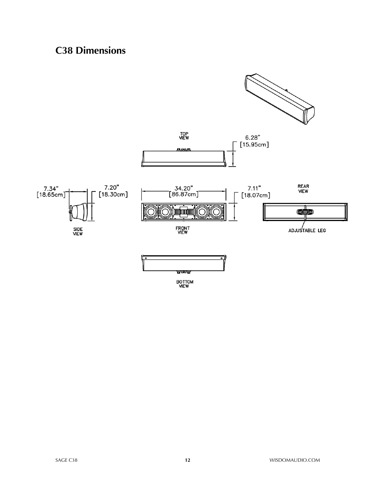# **C38 Dimensions**